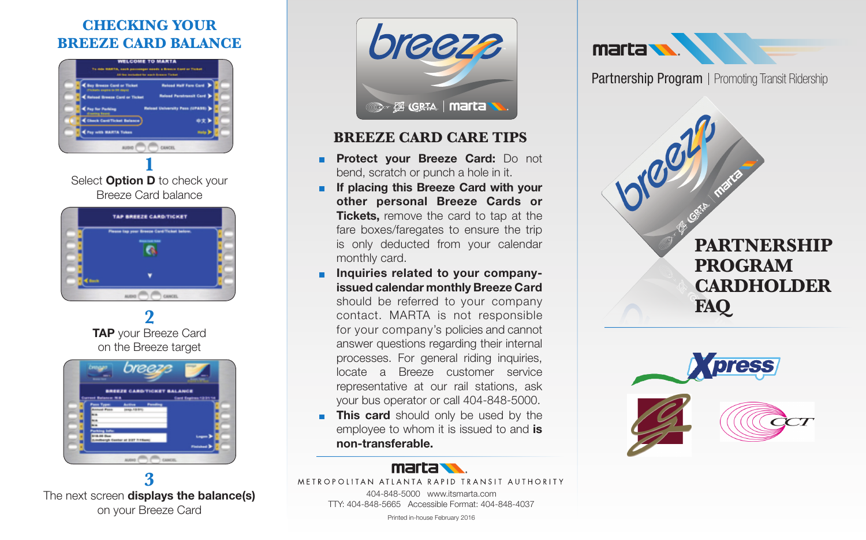## **Checking Your Breeze Card Balance**



Select **Option D** to check your Breeze Card balance



**2 Tap** your Breeze Card on the Breeze target



**3** The next screen **displays the balance(s)** on your Breeze Card



### **Breeze Card Care Tips**

- **Protect your Breeze Card:** Do not bend, scratch or punch a hole in it.
- **If placing this Breeze Card with your other personal Breeze Cards or Tickets.** remove the card to tap at the fare boxes/faregates to ensure the trip is only deducted from your calendar monthly card.
- **Inquiries related to your companyissued calendar monthly Breeze Card**

should be referred to your company contact. MARTA is not responsible for your company's policies and cannot answer questions regarding their internal processes. For general riding inquiries, locate a Breeze customer service representative at our rail stations, ask your bus operator or call 404-848-5000.

**This card** should only be used by the employee to whom it is issued to and **is non-transferable.**



METROPOLITAN ATLANTA RAPID TRANSIT AUTHORITY

404-848-5000 www.itsmarta.com TTY: 404-848-5665 Accessible Format: 404-848-4037

Printed in-house February 2016



Partnership Program | Promoting Transit Ridership

**PARTNERSHIP PROGRAM CARDHOLDER FAQ**